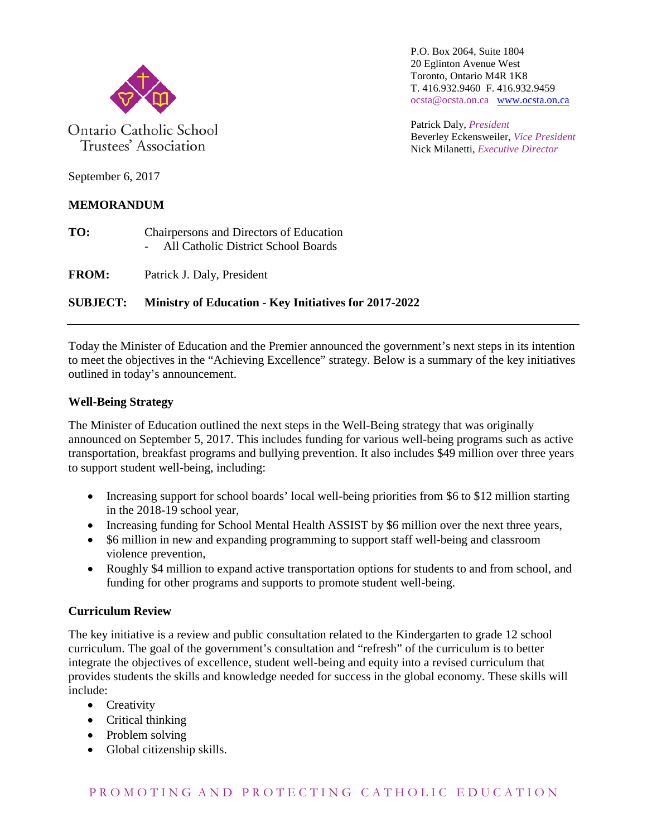

Ontario Catholic School Trustees' Association

P.O. Box 2064, Suite 1804 20 Eglinton Avenue West Toronto, Ontario M4R 1K8 T. 416.932.9460 F. 416.932.9459 ocsta@ocsta.on.ca [www.ocsta.on.ca](http://www.ocsta.on.ca/)

Patrick Daly, *President* Beverley Eckensweiler, *Vice President* Nick Milanetti, *Executive Director*

September 6, 2017

## **MEMORANDUM**

- **TO:** Chairpersons and Directors of Education - All Catholic District School Boards
- **FROM:** Patrick J. Daly, President

# **SUBJECT: Ministry of Education - Key Initiatives for 2017-2022**

Today the Minister of Education and the Premier announced the government's next steps in its intention to meet the objectives in the "Achieving Excellence" strategy. Below is a summary of the key initiatives outlined in today's announcement.

### **Well-Being Strategy**

The Minister of Education outlined the next steps in the Well-Being strategy that was originally announced on September 5, 2017. This includes funding for various well-being programs such as active transportation, breakfast programs and bullying prevention. It also includes \$49 million over three years to support student well-being, including:

- Increasing support for school boards' local well-being priorities from \$6 to \$12 million starting in the 2018-19 school year,
- Increasing funding for School Mental Health ASSIST by \$6 million over the next three years,
- \$6 million in new and expanding programming to support staff well-being and classroom violence prevention,
- Roughly \$4 million to expand active transportation options for students to and from school, and funding for other programs and supports to promote student well-being.

### **Curriculum Review**

The key initiative is a review and public consultation related to the Kindergarten to grade 12 school curriculum. The goal of the government's consultation and "refresh" of the curriculum is to better integrate the objectives of excellence, student well-being and equity into a revised curriculum that provides students the skills and knowledge needed for success in the global economy. These skills will include:

- Creativity
- Critical thinking
- Problem solving
- Global citizenship skills.